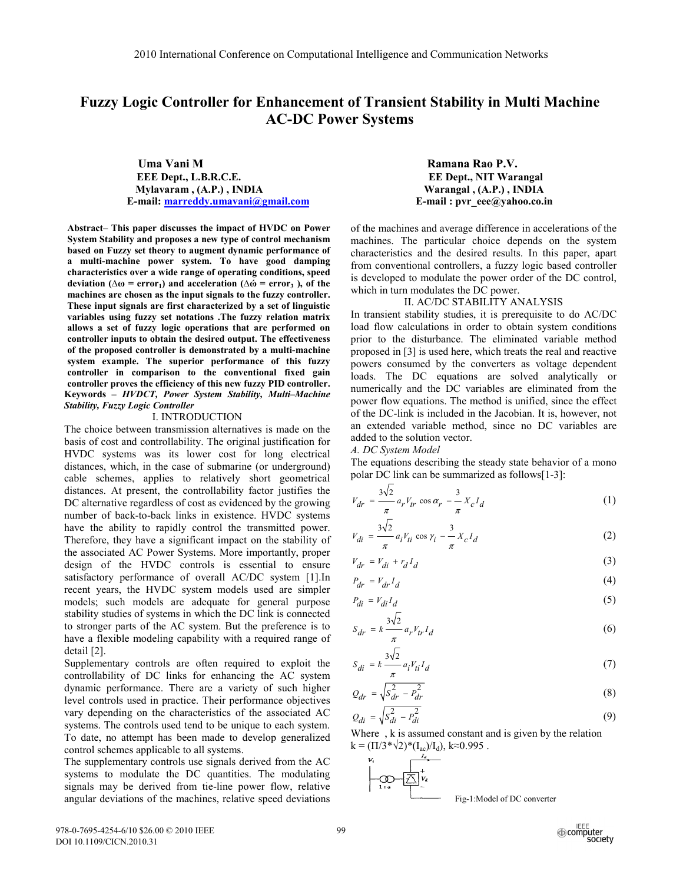# **Fuzzy Logic Controller for Enhancement of Transient Stability in Multi Machine AC-DC Power Systems**

 **Uma Vani M Ramana Rao P.V. EEE Dept., L.B.R.C.E.** EE Dept., NIT Warangal **Mylavaram , (A.P.) , INDIA Warangal , (A.P.) , INDIA E-mail:** marreddy.umavani@gmail.com **E-mail :** pvr eee@yahoo.co.in

**Abstract– This paper discusses the impact of HVDC on Power System Stability and proposes a new type of control mechanism based on Fuzzy set theory to augment dynamic performance of a multi-machine power system. To have good damping characteristics over a wide range of operating conditions, speed deviation** ( $\Delta \omega$  = error<sub>1</sub>) and acceleration ( $\Delta \omega$  = error<sub>3</sub>), of the **machines are chosen as the input signals to the fuzzy controller. These input signals are first characterized by a set of linguistic variables using fuzzy set notations .The fuzzy relation matrix allows a set of fuzzy logic operations that are performed on controller inputs to obtain the desired output. The effectiveness of the proposed controller is demonstrated by a multi-machine system example. The superior performance of this fuzzy controller in comparison to the conventional fixed gain controller proves the efficiency of this new fuzzy PID controller. Keywords –** *HVDCT, Power System Stability, Multi–Machine Stability, Fuzzy Logic Controller*

## I. INTRODUCTION

The choice between transmission alternatives is made on the basis of cost and controllability. The original justification for HVDC systems was its lower cost for long electrical distances, which, in the case of submarine (or underground) cable schemes, applies to relatively short geometrical distances. At present, the controllability factor justifies the DC alternative regardless of cost as evidenced by the growing number of back-to-back links in existence. HVDC systems have the ability to rapidly control the transmitted power. Therefore, they have a significant impact on the stability of the associated AC Power Systems. More importantly, proper design of the HVDC controls is essential to ensure satisfactory performance of overall AC/DC system [1].In recent years, the HVDC system models used are simpler models; such models are adequate for general purpose stability studies of systems in which the DC link is connected to stronger parts of the AC system. But the preference is to have a flexible modeling capability with a required range of detail [2].

Supplementary controls are often required to exploit the controllability of DC links for enhancing the AC system dynamic performance. There are a variety of such higher level controls used in practice. Their performance objectives vary depending on the characteristics of the associated AC systems. The controls used tend to be unique to each system. To date, no attempt has been made to develop generalized control schemes applicable to all systems.

The supplementary controls use signals derived from the AC systems to modulate the DC quantities. The modulating signals may be derived from tie-line power flow, relative angular deviations of the machines, relative speed deviations

of the machines and average difference in accelerations of the machines. The particular choice depends on the system characteristics and the desired results. In this paper, apart from conventional controllers, a fuzzy logic based controller is developed to modulate the power order of the DC control, which in turn modulates the DC power.

### II. AC/DC STABILITY ANALYSIS

In transient stability studies, it is prerequisite to do AC/DC load flow calculations in order to obtain system conditions prior to the disturbance. The eliminated variable method proposed in [3] is used here, which treats the real and reactive powers consumed by the converters as voltage dependent loads. The DC equations are solved analytically or numerically and the DC variables are eliminated from the power flow equations. The method is unified, since the effect of the DC-link is included in the Jacobian. It is, however, not an extended variable method, since no DC variables are added to the solution vector.

*A. DC System Model* 

The equations describing the steady state behavior of a mono polar DC link can be summarized as follows[1-3]:

$$
V_{dr} = \frac{3\sqrt{2}}{\pi} a_r V_{tr} \cos \alpha_r - \frac{3}{\pi} X_c I_d
$$
 (1)

$$
V_{di} = \frac{3\sqrt{2}}{\pi} a_i V_{ti} \cos \gamma_i - \frac{3}{\pi} X_c I_d
$$
 (2)

$$
V_{dr} = V_{di} + r_d I_d \tag{3}
$$

$$
P_{dr} = V_{dr} I_d \tag{4}
$$

$$
P_{di} = V_{di} I_d \tag{5}
$$

$$
S_{dr} = k \frac{3\sqrt{2}}{\pi} a_r V_{tr} I_d
$$
 (6)

$$
S_{di} = k \frac{3\sqrt{2}}{\pi} a_i V_{ti} I_d \tag{7}
$$

$$
Q_{dr} = \sqrt{S_{dr}^2 - P_{dr}^2}
$$
 (8)

$$
Q_{di} = \sqrt{S_{di}^2 - P_{di}^2} \tag{9}
$$

Where , k is assumed constant and is given by the relation  $k = (\Pi/3 * \sqrt{2}) * (I_{ac})/I_{d}$ , k≈0.995.

Fig-1:Model of DC converter

978-0-7695-4254-6/10 \$26.00 © 2010 IEEE DOI 10.1109/CICN.2010.31

 $V_{\rm t}$ 

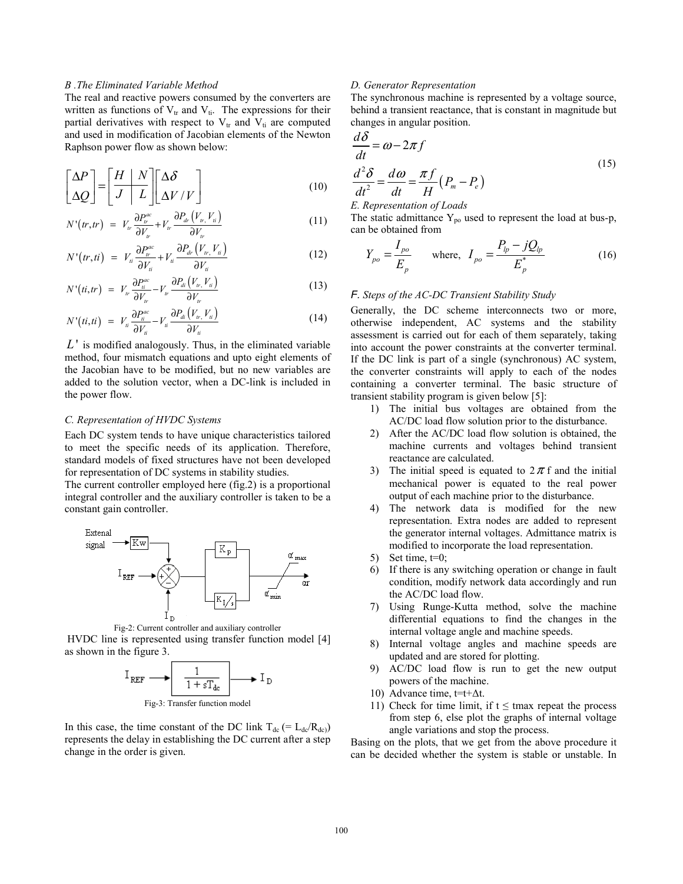## *B .The Eliminated Variable Method*

The real and reactive powers consumed by the converters are written as functions of  $V_{tr}$  and  $V_{ti}$ . The expressions for their partial derivatives with respect to  $V_{tr}$  and  $V_{ti}$  are computed and used in modification of Jacobian elements of the Newton Raphson power flow as shown below:

$$
\begin{bmatrix}\n\Delta P \\
\Delta Q\n\end{bmatrix} = \begin{bmatrix}\nH & N \\
J & L\n\end{bmatrix} \begin{bmatrix}\n\Delta \delta \\
\Delta V / V\n\end{bmatrix}
$$
\n(10)

$$
N'(tr, tr) = V_w \frac{\partial P_w^{ac}}{\partial V_w} + V_w \frac{\partial P_w (V_w, V_u)}{\partial V_w}
$$
 (11)

$$
N'(tr, ti) = V_{ii} \frac{\partial P_{ir}^{ac}}{\partial V_{ii}} + V_{ii} \frac{\partial P_{dr}(V_{tr}, V_{ii})}{\partial V_{ii}}
$$
(12)

$$
N'(t, tr) = V_{tr} \frac{\partial P_{ti}^{ac}}{\partial V_{tr}} - V_{tr} \frac{\partial P_{di}(V_{tr}, V_{ti})}{\partial V_{tr}}
$$
(13)

$$
N'(t i, t i) = V_{ii} \frac{\partial P_{ii}^{ac}}{\partial V_{ii}} - V_{ii} \frac{\partial P_{di} (V_{ir,} V_{ti})}{\partial V_{ii}} \tag{14}
$$

*L*' is modified analogously. Thus, in the eliminated variable method, four mismatch equations and upto eight elements of the Jacobian have to be modified, but no new variables are added to the solution vector, when a DC-link is included in the power flow.

## *C. Representation of HVDC Systems*

Each DC system tends to have unique characteristics tailored to meet the specific needs of its application. Therefore, standard models of fixed structures have not been developed for representation of DC systems in stability studies.

The current controller employed here (fig.2) is a proportional integral controller and the auxiliary controller is taken to be a constant gain controller.



Fig-2: Current controller and auxiliary controller

 HVDC line is represented using transfer function model [4] as shown in the figure 3.



Fig-3: Transfer function model

In this case, the time constant of the DC link  $T_{dc}$  (= L<sub>dc</sub>/R<sub>dc)</sub>) represents the delay in establishing the DC current after a step change in the order is given.

## *D. Generator Representation*

The synchronous machine is represented by a voltage source, behind a transient reactance, that is constant in magnitude but changes in angular position.

$$
\frac{d\delta}{dt} = \omega - 2\pi f
$$
  

$$
\frac{d^2\delta}{dt^2} = \frac{d\omega}{dt} = \frac{\pi f}{H} (P_m - P_e)
$$
 (15)

*E. Representation of Loads*

The static admittance  $Y_{po}$  used to represent the load at bus-p, can be obtained from

$$
Y_{po} = \frac{I_{po}}{E_p} \qquad \text{where,} \quad I_{po} = \frac{P_{lp} - jQ_{lp}}{E_p^*} \tag{16}
$$

## *F. Steps of the AC-DC Transient Stability Study*

Generally, the DC scheme interconnects two or more, otherwise independent, AC systems and the stability assessment is carried out for each of them separately, taking into account the power constraints at the converter terminal. If the DC link is part of a single (synchronous) AC system, the converter constraints will apply to each of the nodes containing a converter terminal. The basic structure of transient stability program is given below [5]:

- 1) The initial bus voltages are obtained from the AC/DC load flow solution prior to the disturbance.
- 2) After the AC/DC load flow solution is obtained, the machine currents and voltages behind transient reactance are calculated.
- 3) The initial speed is equated to  $2\pi f$  and the initial mechanical power is equated to the real power output of each machine prior to the disturbance.
- 4) The network data is modified for the new representation. Extra nodes are added to represent the generator internal voltages. Admittance matrix is modified to incorporate the load representation.
- 5) Set time,  $t=0$ ;
- 6) If there is any switching operation or change in fault condition, modify network data accordingly and run the AC/DC load flow.
- 7) Using Runge-Kutta method, solve the machine differential equations to find the changes in the internal voltage angle and machine speeds.
- 8) Internal voltage angles and machine speeds are updated and are stored for plotting.
- 9) AC/DC load flow is run to get the new output powers of the machine.
- 10) Advance time,  $t=t+\Delta t$ .
- 11) Check for time limit, if  $t \leq$  tmax repeat the process from step 6, else plot the graphs of internal voltage angle variations and stop the process.

Basing on the plots, that we get from the above procedure it can be decided whether the system is stable or unstable. In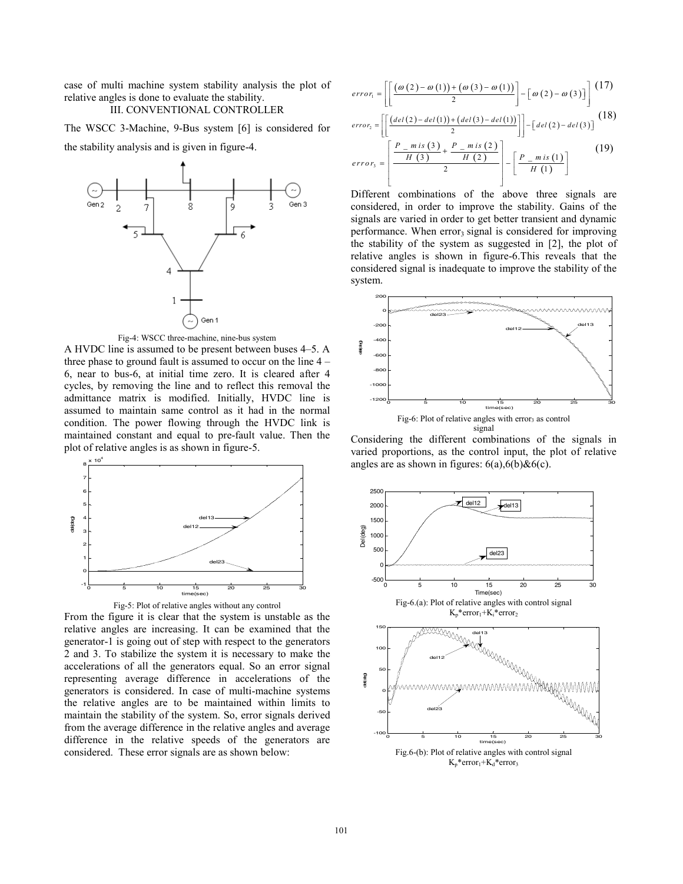case of multi machine system stability analysis the plot of relative angles is done to evaluate the stability.

## III. CONVENTIONAL CONTROLLER

The WSCC 3-Machine, 9-Bus system [6] is considered for the stability analysis and is given in figure-4.





A HVDC line is assumed to be present between buses 4–5. A three phase to ground fault is assumed to occur on the line 4 – 6, near to bus-6, at initial time zero. It is cleared after 4 cycles, by removing the line and to reflect this removal the admittance matrix is modified. Initially, HVDC line is assumed to maintain same control as it had in the normal condition. The power flowing through the HVDC link is maintained constant and equal to pre-fault value. Then the plot of relative angles is as shown in figure-5.



From the figure it is clear that the system is unstable as the relative angles are increasing. It can be examined that the generator-1 is going out of step with respect to the generators 2 and 3. To stabilize the system it is necessary to make the accelerations of all the generators equal. So an error signal representing average difference in accelerations of the generators is considered. In case of multi-machine systems the relative angles are to be maintained within limits to maintain the stability of the system. So, error signals derived from the average difference in the relative angles and average difference in the relative speeds of the generators are considered. These error signals are as shown below:

$$
error_{1} = \left[ \left[ \frac{(\omega(2) - \omega(1)) + (\omega(3) - \omega(1))}{2} \right] - \left[ \omega(2) - \omega(3) \right] \right] (17)
$$

$$
error_{2} = \left[ \left[ \frac{(del(2) - del(1)) + (del(3) - del(1))}{2} \right] \right] - [del(2) - del(3)] \tag{18}
$$

$$
error_{3} = \left[\frac{\frac{P_{m} \, \text{is} \, (3)}{H \, (3)} + \frac{P_{m} \, \text{is} \, (2)}{H \, (2)}}{2}\right] - \left[\frac{P_{m} \, \text{is} \, (1)}{H \, (1)}\right] \tag{19}
$$

Different combinations of the above three signals are considered, in order to improve the stability. Gains of the signals are varied in order to get better transient and dynamic performance. When  $error_3$  signal is considered for improving the stability of the system as suggested in [2], the plot of relative angles is shown in figure-6.This reveals that the considered signal is inadequate to improve the stability of the system.



Considering the different combinations of the signals in varied proportions, as the control input, the plot of relative angles are as shown in figures:  $6(a)$ ,  $6(b)$ & $6(c)$ .

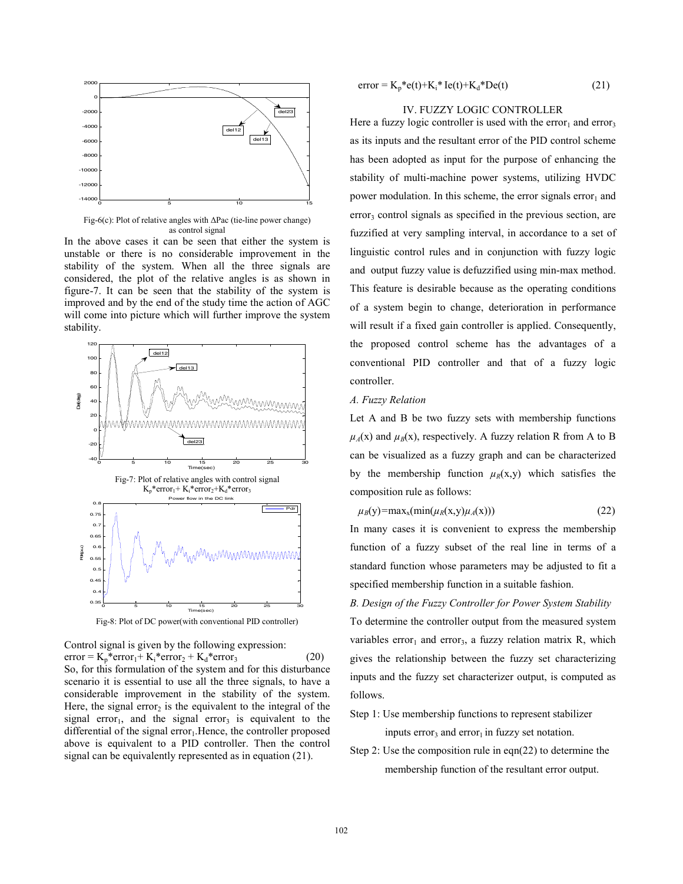

Fig-6(c): Plot of relative angles with ΔPac (tie-line power change) as control signal

In the above cases it can be seen that either the system is unstable or there is no considerable improvement in the stability of the system. When all the three signals are considered, the plot of the relative angles is as shown in figure-7. It can be seen that the stability of the system is improved and by the end of the study time the action of AGC will come into picture which will further improve the system stability.



Control signal is given by the following expression:  $error = K_p * error_1 + K_i * error_2 + K_d * error_3$  (20) So, for this formulation of the system and for this disturbance scenario it is essential to use all the three signals, to have a considerable improvement in the stability of the system. Here, the signal error<sub>2</sub> is the equivalent to the integral of the signal error<sub>1</sub>, and the signal error<sub>3</sub> is equivalent to the differential of the signal error $<sub>1</sub>$ . Hence, the controller proposed</sub> above is equivalent to a PID controller. Then the control signal can be equivalently represented as in equation (21).

$$
error = K_p * e(t) + K_i * Ie(t) + K_d * De(t)
$$
\n(21)

## IV. FUZZY LOGIC CONTROLLER

Here a fuzzy logic controller is used with the error<sub>1</sub> and error<sub>3</sub> as its inputs and the resultant error of the PID control scheme has been adopted as input for the purpose of enhancing the stability of multi-machine power systems, utilizing HVDC power modulation. In this scheme, the error signals error $<sub>1</sub>$  and</sub> error<sub>3</sub> control signals as specified in the previous section, are fuzzified at very sampling interval, in accordance to a set of linguistic control rules and in conjunction with fuzzy logic and output fuzzy value is defuzzified using min-max method. This feature is desirable because as the operating conditions of a system begin to change, deterioration in performance will result if a fixed gain controller is applied. Consequently, the proposed control scheme has the advantages of a conventional PID controller and that of a fuzzy logic controller.

## *A. Fuzzy Relation*

Let A and B be two fuzzy sets with membership functions  $\mu_A(x)$  and  $\mu_B(x)$ , respectively. A fuzzy relation R from A to B can be visualized as a fuzzy graph and can be characterized by the membership function  $\mu_R(x, y)$  which satisfies the composition rule as follows:

 $\mu_B(y) = \max_x(\min(\mu_R(x, y), \mu_A(x)))$  (22)

In many cases it is convenient to express the membership function of a fuzzy subset of the real line in terms of a standard function whose parameters may be adjusted to fit a specified membership function in a suitable fashion.

## *B. Design of the Fuzzy Controller for Power System Stability*

To determine the controller output from the measured system variables error<sub>1</sub> and error<sub>3</sub>, a fuzzy relation matrix R, which gives the relationship between the fuzzy set characterizing inputs and the fuzzy set characterizer output, is computed as follows.

- Step 1: Use membership functions to represent stabilizer inputs error<sub>3</sub> and error<sub>1</sub> in fuzzy set notation.
- Step 2: Use the composition rule in eqn(22) to determine the membership function of the resultant error output.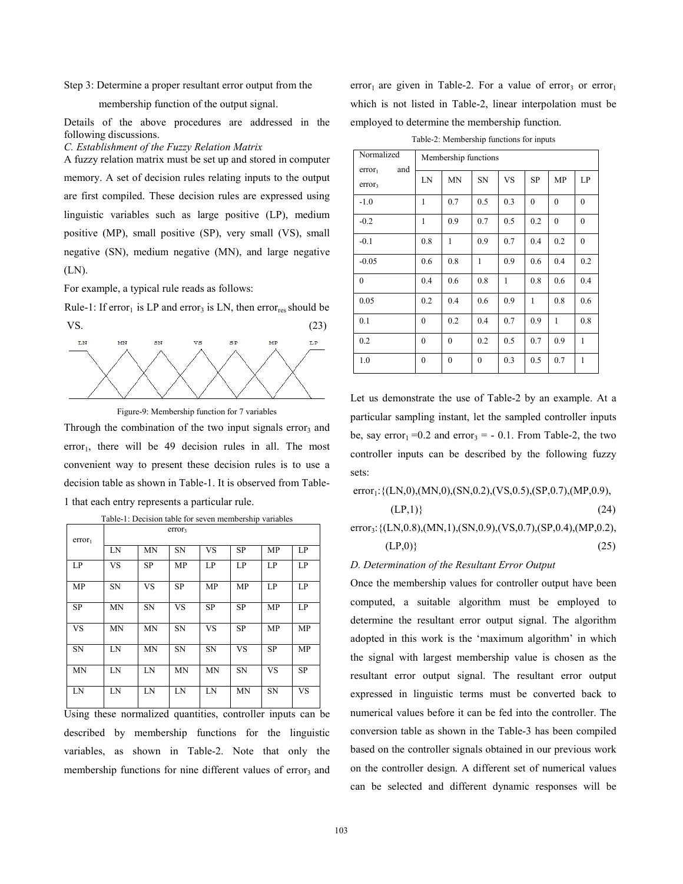Step 3: Determine a proper resultant error output from the

## membership function of the output signal.

Details of the above procedures are addressed in the following discussions.

*C. Establishment of the Fuzzy Relation Matrix* 

A fuzzy relation matrix must be set up and stored in computer memory. A set of decision rules relating inputs to the output are first compiled. These decision rules are expressed using linguistic variables such as large positive (LP), medium positive (MP), small positive (SP), very small (VS), small negative (SN), medium negative (MN), and large negative (LN).

For example, a typical rule reads as follows:

Rule-1: If error<sub>1</sub> is LP and error<sub>3</sub> is LN, then error<sub>res</sub> should be  $VS.$  (23)



Figure-9: Membership function for 7 variables

Through the combination of the two input signals error<sub>3</sub> and error<sub>1</sub>, there will be 49 decision rules in all. The most convenient way to present these decision rules is to use a decision table as shown in Table-1. It is observed from Table-1 that each entry represents a particular rule.

|                    | error <sub>3</sub> |           |           |           |           |           |           |  |  |  |
|--------------------|--------------------|-----------|-----------|-----------|-----------|-----------|-----------|--|--|--|
| error <sub>1</sub> | LN                 | <b>MN</b> | <b>SN</b> | <b>VS</b> | <b>SP</b> | MP        | LP        |  |  |  |
|                    |                    |           |           |           |           |           |           |  |  |  |
| LP                 | VS                 | <b>SP</b> | MP        | LP        | LP        | LP        | LP        |  |  |  |
| <b>MP</b>          | <b>SN</b>          | VS        | <b>SP</b> | MP        | MP        | LP        | LP        |  |  |  |
| <b>SP</b>          | <b>MN</b>          | SN        | <b>VS</b> | <b>SP</b> | <b>SP</b> | MP        | LP        |  |  |  |
| <b>VS</b>          | <b>MN</b>          | <b>MN</b> | <b>SN</b> | <b>VS</b> | <b>SP</b> | MP        | MP        |  |  |  |
| <b>SN</b>          | LN                 | <b>MN</b> | <b>SN</b> | <b>SN</b> | <b>VS</b> | <b>SP</b> | MP        |  |  |  |
| <b>MN</b>          | LN                 | LN        | <b>MN</b> | <b>MN</b> | <b>SN</b> | <b>VS</b> | <b>SP</b> |  |  |  |
| LN                 | LN                 | LN        | LN        | LN        | <b>MN</b> | <b>SN</b> | <b>VS</b> |  |  |  |

| Table-1: Decision table for seven membership variables |  |  |  |  |
|--------------------------------------------------------|--|--|--|--|
|                                                        |  |  |  |  |

Using these normalized quantities, controller inputs can be described by membership functions for the linguistic variables, as shown in Table-2. Note that only the membership functions for nine different values of error<sub>3</sub> and error<sub>1</sub> are given in Table-2. For a value of error<sub>3</sub> or error<sub>1</sub> which is not listed in Table-2, linear interpolation must be employed to determine the membership function.

Table-2: Membership functions for inputs

| Normalized                                      | Membership functions |                  |              |     |           |              |              |  |  |
|-------------------------------------------------|----------------------|------------------|--------------|-----|-----------|--------------|--------------|--|--|
| and<br>error <sub>1</sub><br>error <sub>3</sub> | LN                   | MN               | <b>SN</b>    | VS  | <b>SP</b> | MP           | LP           |  |  |
| $-1.0$                                          | 1                    | 0.7              | 0.5          | 0.3 | $\theta$  | $\mathbf{0}$ | $\mathbf{0}$ |  |  |
| $-0.2$                                          | 1                    | 0.9              | 0.7          | 0.5 | 0.2       | $\mathbf{0}$ | $\mathbf{0}$ |  |  |
| $-0.1$                                          | 0.8                  | 1                | 0.9          | 0.7 | 0.4       | 0.2          | $\mathbf{0}$ |  |  |
| $-0.05$                                         | 0.6                  | 0.8              | $\mathbf{1}$ | 0.9 | 0.6       | 0.4          | 0.2          |  |  |
| $\mathbf{0}$                                    | 0.4                  | 0.6              | 0.8          | 1   | 0.8       | 0.6          | 0.4          |  |  |
| 0.05                                            | 0.2                  | 0.4              | 0.6          | 0.9 | 1         | 0.8          | 0.6          |  |  |
| 0.1                                             | $\mathbf{0}$         | 0.2              | 0.4          | 0.7 | 0.9       | $\mathbf{1}$ | 0.8          |  |  |
| 0.2                                             | $\theta$             | $\boldsymbol{0}$ | 0.2          | 0.5 | 0.7       | 0.9          | 1            |  |  |
| 1.0                                             | $\mathbf{0}$         | $\boldsymbol{0}$ | $\mathbf{0}$ | 0.3 | 0.5       | 0.7          | 1            |  |  |

Let us demonstrate the use of Table-2 by an example. At a particular sampling instant, let the sampled controller inputs be, say error<sub>1</sub> = 0.2 and error<sub>3</sub> = - 0.1. From Table-2, the two controller inputs can be described by the following fuzzy sets:

 $error_1$ : {(LN,0),(MN,0),(SN,0.2),(VS,0.5),(SP,0.7),(MP,0.9),

$$
(LP,1)\}\tag{24}
$$

error<sub>3</sub>: {(LN,0.8),(MN,1),(SN,0.9),(VS,0.7),(SP,0.4),(MP,0.2),  $(LP,0)$ } (25)

## *D. Determination of the Resultant Error Output*

Once the membership values for controller output have been computed, a suitable algorithm must be employed to determine the resultant error output signal. The algorithm adopted in this work is the 'maximum algorithm' in which the signal with largest membership value is chosen as the resultant error output signal. The resultant error output expressed in linguistic terms must be converted back to numerical values before it can be fed into the controller. The conversion table as shown in the Table-3 has been compiled based on the controller signals obtained in our previous work on the controller design. A different set of numerical values can be selected and different dynamic responses will be